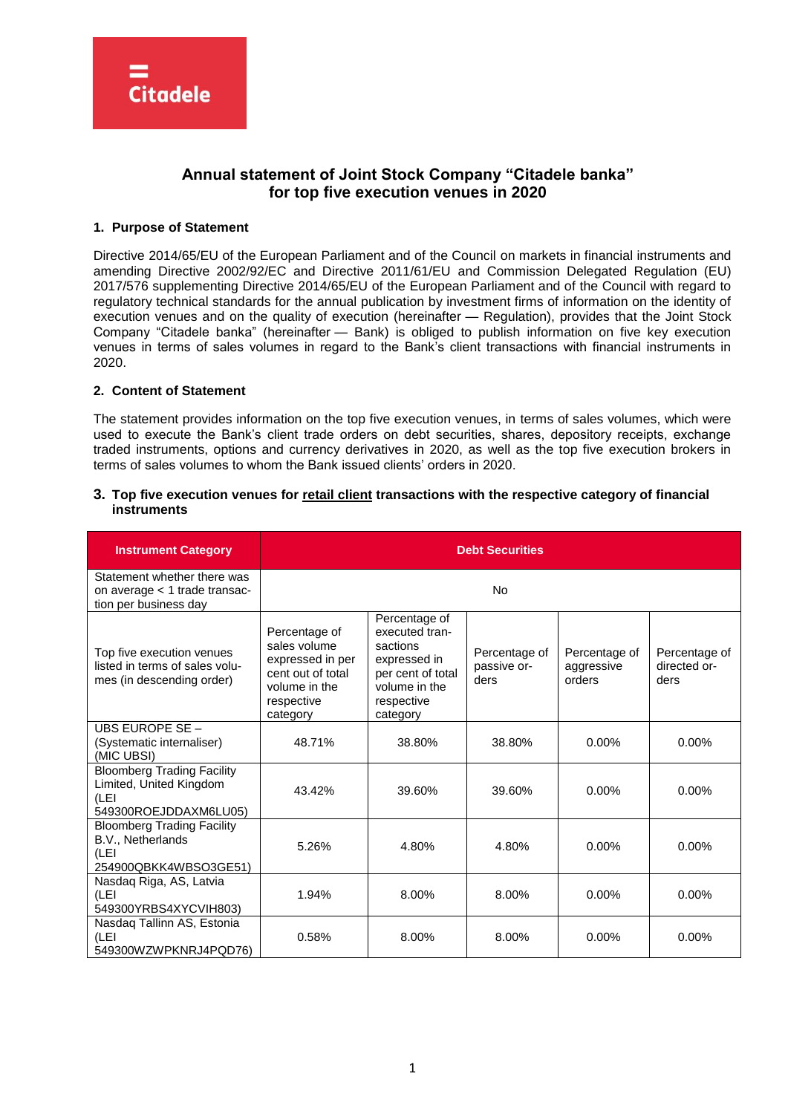

# **Annual statement of Joint Stock Company "Citadele banka" for top five execution venues in 2020**

# **1. Purpose of Statement**

Directive 2014/65/EU of the European Parliament and of the Council on markets in financial instruments and amending Directive 2002/92/EC and Directive 2011/61/EU and Commission Delegated Regulation (EU) 2017/576 supplementing Directive 2014/65/EU of the European Parliament and of the Council with regard to regulatory technical standards for the annual publication by investment firms of information on the identity of execution venues and on the quality of execution (hereinafter — Regulation), provides that the Joint Stock Company "Citadele banka" (hereinafter — Bank) is obliged to publish information on five key execution venues in terms of sales volumes in regard to the Bank's client transactions with financial instruments in 2020.

# **2. Content of Statement**

The statement provides information on the top five execution venues, in terms of sales volumes, which were used to execute the Bank's client trade orders on debt securities, shares, depository receipts, exchange traded instruments, options and currency derivatives in 2020, as well as the top five execution brokers in terms of sales volumes to whom the Bank issued clients' orders in 2020.

## **3. Top five execution venues for retail client transactions with the respective category of financial instruments**

| <b>Instrument Category</b>                                                                    | <b>Debt Securities</b>                                                                                            |                                                                                                                             |                                      |                                       |                                       |
|-----------------------------------------------------------------------------------------------|-------------------------------------------------------------------------------------------------------------------|-----------------------------------------------------------------------------------------------------------------------------|--------------------------------------|---------------------------------------|---------------------------------------|
| Statement whether there was<br>on average < 1 trade transac-<br>tion per business day         |                                                                                                                   |                                                                                                                             | No                                   |                                       |                                       |
| Top five execution venues<br>listed in terms of sales volu-<br>mes (in descending order)      | Percentage of<br>sales volume<br>expressed in per<br>cent out of total<br>volume in the<br>respective<br>category | Percentage of<br>executed tran-<br>sactions<br>expressed in<br>per cent of total<br>volume in the<br>respective<br>category | Percentage of<br>passive or-<br>ders | Percentage of<br>aggressive<br>orders | Percentage of<br>directed or-<br>ders |
| <b>UBS EUROPE SE -</b><br>(Systematic internaliser)<br>(MIC UBSI)                             | 48.71%                                                                                                            | 38.80%                                                                                                                      | 38.80%                               | $0.00\%$                              | $0.00\%$                              |
| <b>Bloomberg Trading Facility</b><br>Limited, United Kingdom<br>(LEI<br>549300ROEJDDAXM6LU05) | 43.42%                                                                                                            | 39.60%                                                                                                                      | 39.60%                               | $0.00\%$                              | $0.00\%$                              |
| <b>Bloomberg Trading Facility</b><br>B.V., Netherlands<br>(LEI<br>254900QBKK4WBSO3GE51)       | 5.26%                                                                                                             | 4.80%                                                                                                                       | 4.80%                                | $0.00\%$                              | $0.00\%$                              |
| Nasdaq Riga, AS, Latvia<br>(LEI<br>549300YRBS4XYCVIH803)                                      | 1.94%                                                                                                             | 8.00%                                                                                                                       | 8.00%                                | 0.00%                                 | 0.00%                                 |
| Nasdag Tallinn AS, Estonia<br>(LEI<br>549300WZWPKNRJ4PQD76)                                   | 0.58%                                                                                                             | 8.00%                                                                                                                       | 8.00%                                | $0.00\%$                              | $0.00\%$                              |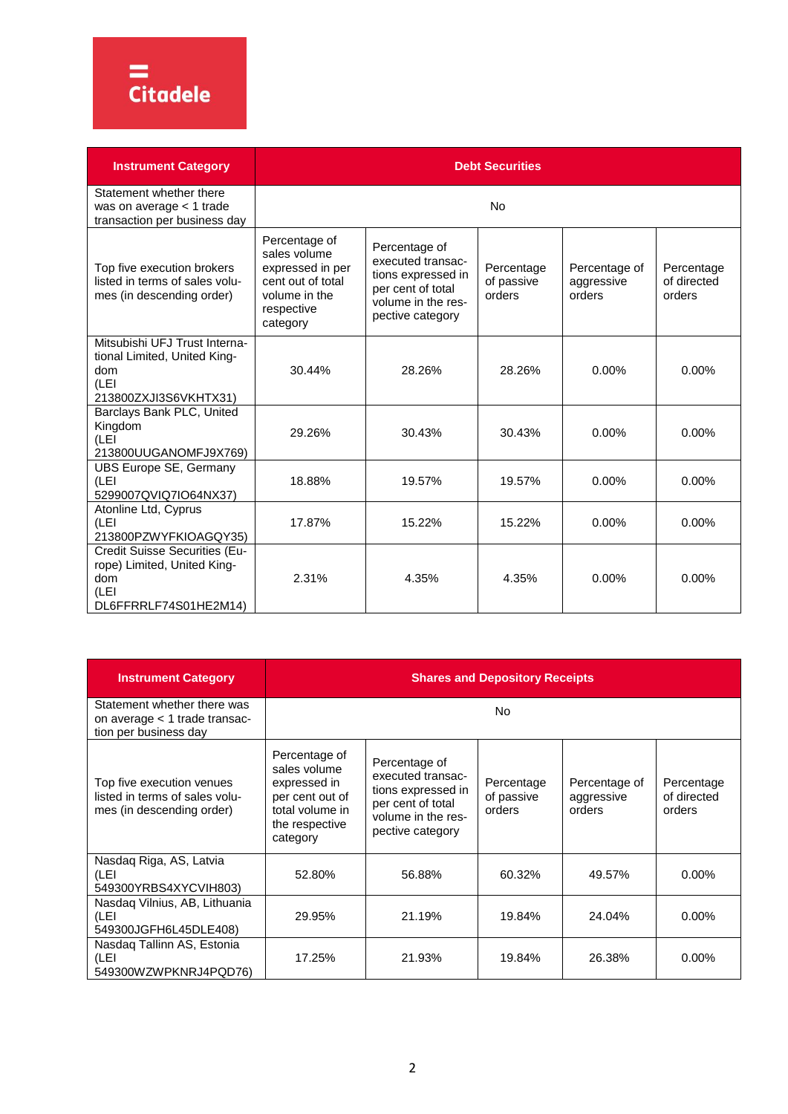# =<br>Citadele

| <b>Instrument Category</b>                                                                            | <b>Debt Securities</b>                                                                                            |                                                                                                                         |                                    |                                       |                                     |
|-------------------------------------------------------------------------------------------------------|-------------------------------------------------------------------------------------------------------------------|-------------------------------------------------------------------------------------------------------------------------|------------------------------------|---------------------------------------|-------------------------------------|
| Statement whether there<br>was on average < 1 trade<br>transaction per business day                   |                                                                                                                   |                                                                                                                         | N <sub>0</sub>                     |                                       |                                     |
| Top five execution brokers<br>listed in terms of sales volu-<br>mes (in descending order)             | Percentage of<br>sales volume<br>expressed in per<br>cent out of total<br>volume in the<br>respective<br>category | Percentage of<br>executed transac-<br>tions expressed in<br>per cent of total<br>volume in the res-<br>pective category | Percentage<br>of passive<br>orders | Percentage of<br>aggressive<br>orders | Percentage<br>of directed<br>orders |
| Mitsubishi UFJ Trust Interna-<br>tional Limited, United King-<br>dom<br>(LEI<br>213800ZXJI3S6VKHTX31) | 30.44%                                                                                                            | 28.26%                                                                                                                  | 28.26%                             | $0.00\%$                              | 0.00%                               |
| Barclays Bank PLC, United<br>Kingdom<br>(LEI<br>213800UUGANOMFJ9X769)                                 | 29.26%                                                                                                            | 30.43%                                                                                                                  | 30.43%                             | $0.00\%$                              | 0.00%                               |
| UBS Europe SE, Germany<br>(LEI<br>5299007QVIQ7IO64NX37)                                               | 18.88%                                                                                                            | 19.57%                                                                                                                  | 19.57%                             | $0.00\%$                              | $0.00\%$                            |
| Atonline Ltd, Cyprus<br>(LEI<br>213800PZWYFKIOAGQY35)                                                 | 17.87%                                                                                                            | 15.22%                                                                                                                  | 15.22%                             | 0.00%                                 | 0.00%                               |
| Credit Suisse Securities (Eu-<br>rope) Limited, United King-<br>dom<br>(LEI<br>DL6FFRRLF74S01HE2M14)  | 2.31%                                                                                                             | 4.35%                                                                                                                   | 4.35%                              | 0.00%                                 | 0.00%                               |

| <b>Instrument Category</b>                                                               | <b>Shares and Depository Receipts</b>                                                                             |                                                                                                                         |                                    |                                       |                                     |
|------------------------------------------------------------------------------------------|-------------------------------------------------------------------------------------------------------------------|-------------------------------------------------------------------------------------------------------------------------|------------------------------------|---------------------------------------|-------------------------------------|
| Statement whether there was<br>on average < 1 trade transac-<br>tion per business day    |                                                                                                                   |                                                                                                                         | N <sub>o</sub>                     |                                       |                                     |
| Top five execution venues<br>listed in terms of sales volu-<br>mes (in descending order) | Percentage of<br>sales volume<br>expressed in<br>per cent out of<br>total volume in<br>the respective<br>category | Percentage of<br>executed transac-<br>tions expressed in<br>per cent of total<br>volume in the res-<br>pective category | Percentage<br>of passive<br>orders | Percentage of<br>aggressive<br>orders | Percentage<br>of directed<br>orders |
| Nasdaq Riga, AS, Latvia<br>(LEI<br>549300YRBS4XYCVIH803)                                 | 52.80%                                                                                                            | 56.88%                                                                                                                  | 60.32%                             | 49.57%                                | $0.00\%$                            |
| Nasdag Vilnius, AB, Lithuania<br>(LEI<br>549300JGFH6L45DLE408)                           | 29.95%                                                                                                            | 21.19%                                                                                                                  | 19.84%                             | 24.04%                                | $0.00\%$                            |
| Nasdag Tallinn AS, Estonia<br>(LEI<br>549300WZWPKNRJ4PQD76)                              | 17.25%                                                                                                            | 21.93%                                                                                                                  | 19.84%                             | 26.38%                                | 0.00%                               |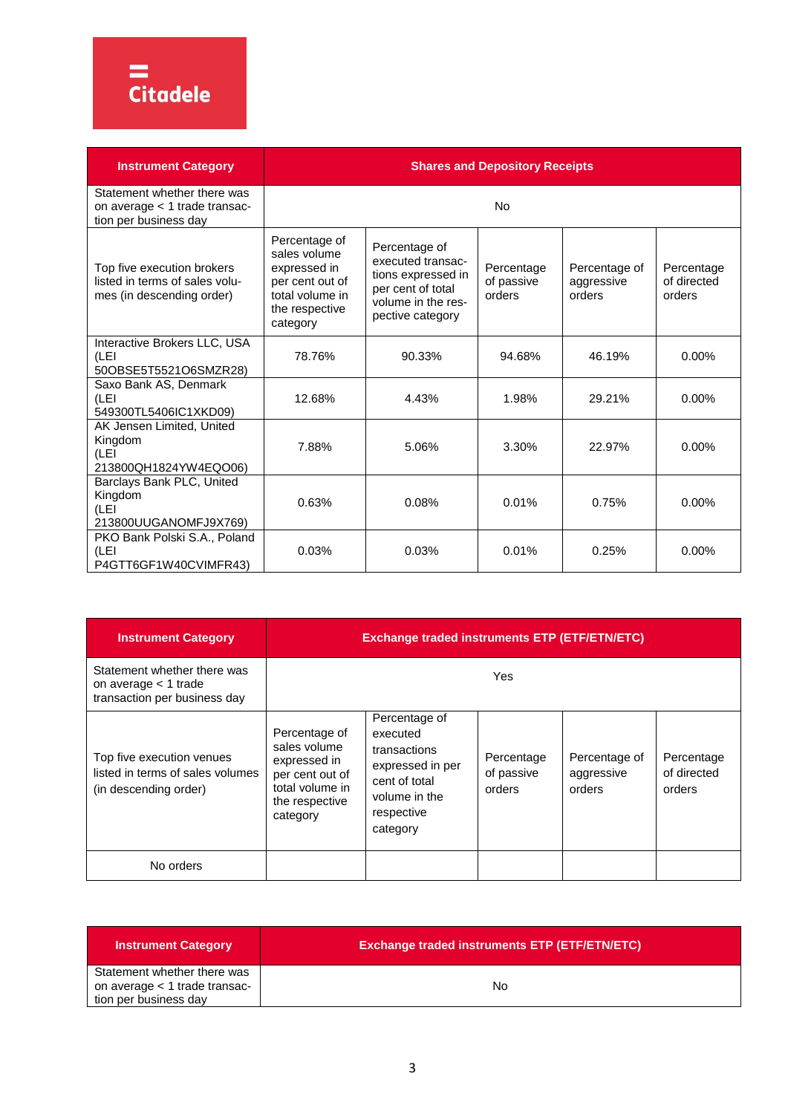

| <b>Instrument Category</b>                                                                | <b>Shares and Depository Receipts</b>                                                                             |                                                                                                                         |                                    |                                       |                                     |
|-------------------------------------------------------------------------------------------|-------------------------------------------------------------------------------------------------------------------|-------------------------------------------------------------------------------------------------------------------------|------------------------------------|---------------------------------------|-------------------------------------|
| Statement whether there was<br>on average < 1 trade transac-<br>tion per business day     |                                                                                                                   |                                                                                                                         | <b>No</b>                          |                                       |                                     |
| Top five execution brokers<br>listed in terms of sales volu-<br>mes (in descending order) | Percentage of<br>sales volume<br>expressed in<br>per cent out of<br>total volume in<br>the respective<br>category | Percentage of<br>executed transac-<br>tions expressed in<br>per cent of total<br>volume in the res-<br>pective category | Percentage<br>of passive<br>orders | Percentage of<br>aggressive<br>orders | Percentage<br>of directed<br>orders |
| Interactive Brokers LLC, USA<br>(LEI<br>50OBSE5T5521O6SMZR28)                             | 78.76%                                                                                                            | 90.33%                                                                                                                  | 94.68%                             | 46.19%                                | $0.00\%$                            |
| Saxo Bank AS, Denmark<br>(LEI<br>549300TL5406IC1XKD09)                                    | 12.68%                                                                                                            | 4.43%                                                                                                                   | 1.98%                              | 29.21%                                | $0.00\%$                            |
| AK Jensen Limited, United<br>Kingdom<br>(LEI<br>213800QH1824YW4EQO06)                     | 7.88%                                                                                                             | 5.06%                                                                                                                   | 3.30%                              | 22.97%                                | $0.00\%$                            |
| Barclays Bank PLC, United<br>Kingdom<br>(LEI<br>213800UUGANOMFJ9X769)                     | 0.63%                                                                                                             | 0.08%                                                                                                                   | 0.01%                              | 0.75%                                 | $0.00\%$                            |
| PKO Bank Polski S.A., Poland<br>(LEI<br>P4GTT6GF1W40CVIMFR43)                             | 0.03%                                                                                                             | 0.03%                                                                                                                   | 0.01%                              | 0.25%                                 | 0.00%                               |

| <b>Instrument Category</b>                                                             | <b>Exchange traded instruments ETP (ETF/ETN/ETC)</b>                                                              |                                                                                                                           |                                    |                                       |                                     |
|----------------------------------------------------------------------------------------|-------------------------------------------------------------------------------------------------------------------|---------------------------------------------------------------------------------------------------------------------------|------------------------------------|---------------------------------------|-------------------------------------|
| Statement whether there was<br>on average $<$ 1 trade<br>transaction per business day  |                                                                                                                   |                                                                                                                           | Yes                                |                                       |                                     |
| Top five execution venues<br>listed in terms of sales volumes<br>(in descending order) | Percentage of<br>sales volume<br>expressed in<br>per cent out of<br>total volume in<br>the respective<br>category | Percentage of<br>executed<br>transactions<br>expressed in per<br>cent of total<br>volume in the<br>respective<br>category | Percentage<br>of passive<br>orders | Percentage of<br>aggressive<br>orders | Percentage<br>of directed<br>orders |
| No orders                                                                              |                                                                                                                   |                                                                                                                           |                                    |                                       |                                     |

| <b>Instrument Category</b>    | <b>Exchange traded instruments ETP (ETF/ETN/ETC)</b> |
|-------------------------------|------------------------------------------------------|
| Statement whether there was   |                                                      |
| on average < 1 trade transac- | No.                                                  |
| tion per business day         |                                                      |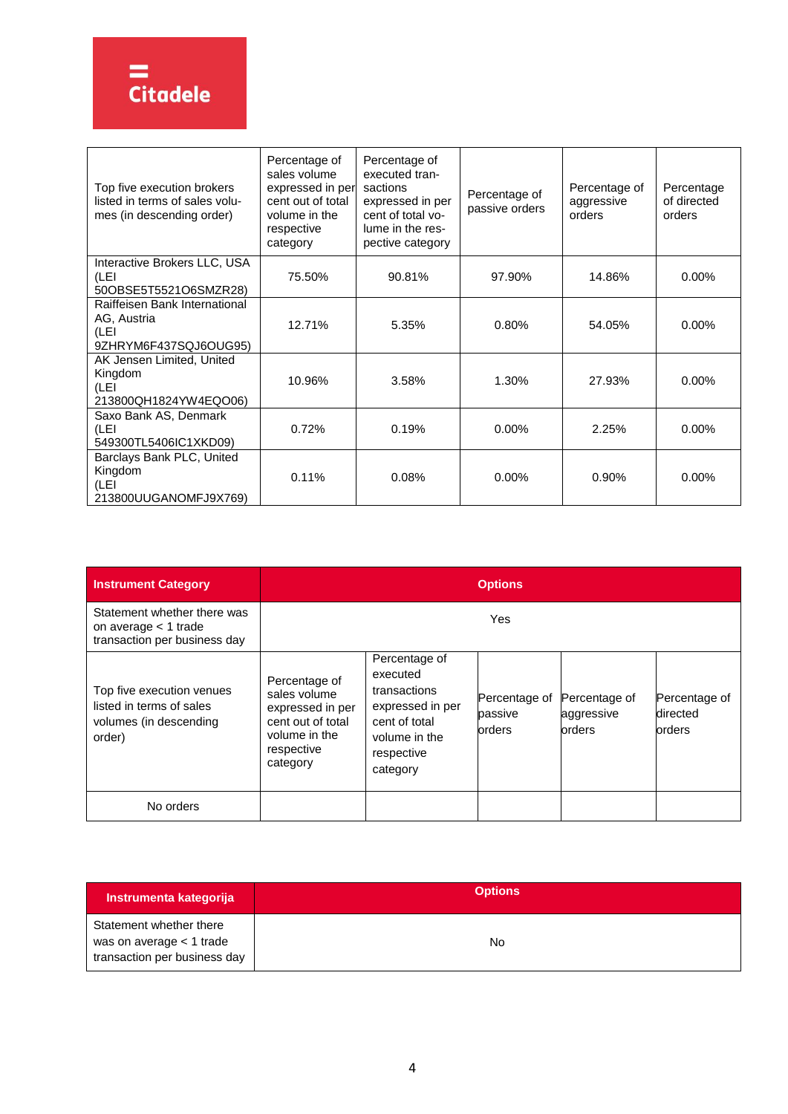

| Top five execution brokers<br>listed in terms of sales volu-<br>mes (in descending order) | Percentage of<br>sales volume<br>expressed in per<br>cent out of total<br>volume in the<br>respective<br>category | Percentage of<br>executed tran-<br>sactions<br>expressed in per<br>cent of total vo-<br>lume in the res-<br>pective category | Percentage of<br>passive orders | Percentage of<br>aggressive<br>orders | Percentage<br>of directed<br>orders |
|-------------------------------------------------------------------------------------------|-------------------------------------------------------------------------------------------------------------------|------------------------------------------------------------------------------------------------------------------------------|---------------------------------|---------------------------------------|-------------------------------------|
| Interactive Brokers LLC, USA<br>(LEI<br>50OBSE5T5521O6SMZR28)                             | 75.50%                                                                                                            | 90.81%                                                                                                                       | 97.90%                          | 14.86%                                | 0.00%                               |
| Raiffeisen Bank International<br>AG, Austria<br>(LEI<br>9ZHRYM6F437SQJ6OUG95)             | 12.71%                                                                                                            | 5.35%                                                                                                                        | 0.80%                           | 54.05%                                | $0.00\%$                            |
| AK Jensen Limited, United<br>Kingdom<br>(LEI<br>213800QH1824YW4EQO06)                     | 10.96%                                                                                                            | 3.58%                                                                                                                        | 1.30%                           | 27.93%                                | $0.00\%$                            |
| Saxo Bank AS, Denmark<br>(LEI<br>549300TL5406IC1XKD09)                                    | 0.72%                                                                                                             | 0.19%                                                                                                                        | 0.00%                           | 2.25%                                 | $0.00\%$                            |
| Barclays Bank PLC, United<br>Kingdom<br>(LEI<br>213800UUGANOMFJ9X769)                     | 0.11%                                                                                                             | 0.08%                                                                                                                        | 0.00%                           | 0.90%                                 | $0.00\%$                            |

| <b>Instrument Category</b>                                                                | <b>Options</b>                                                                                                    |                                                                                                                           |                                    |                                       |                                     |
|-------------------------------------------------------------------------------------------|-------------------------------------------------------------------------------------------------------------------|---------------------------------------------------------------------------------------------------------------------------|------------------------------------|---------------------------------------|-------------------------------------|
| Statement whether there was<br>on average $<$ 1 trade<br>transaction per business day     | Yes                                                                                                               |                                                                                                                           |                                    |                                       |                                     |
| Top five execution venues<br>listed in terms of sales<br>volumes (in descending<br>order) | Percentage of<br>sales volume<br>expressed in per<br>cent out of total<br>volume in the<br>respective<br>category | Percentage of<br>executed<br>transactions<br>expressed in per<br>cent of total<br>volume in the<br>respective<br>category | Percentage of<br>passive<br>orders | Percentage of<br>aggressive<br>orders | Percentage of<br>directed<br>orders |
| No orders                                                                                 |                                                                                                                   |                                                                                                                           |                                    |                                       |                                     |

| Instrumenta kategorija                                                              | <b>Options</b> |
|-------------------------------------------------------------------------------------|----------------|
| Statement whether there<br>was on average < 1 trade<br>transaction per business day | No             |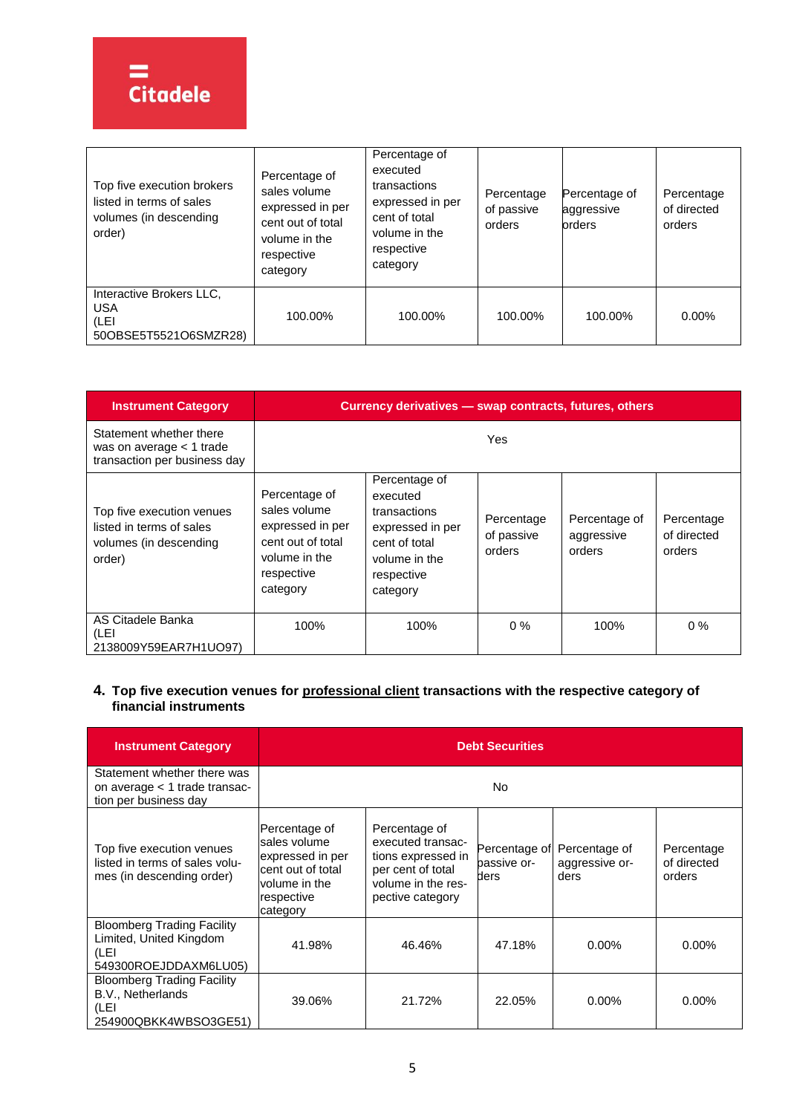| Top five execution brokers<br>listed in terms of sales<br>volumes (in descending<br>order) | Percentage of<br>sales volume<br>expressed in per<br>cent out of total<br>volume in the<br>respective<br>category | Percentage of<br>executed<br>transactions<br>expressed in per<br>cent of total<br>volume in the<br>respective<br>category | Percentage<br>of passive<br>orders | Percentage of<br>aggressive<br>orders | Percentage<br>of directed<br>orders |
|--------------------------------------------------------------------------------------------|-------------------------------------------------------------------------------------------------------------------|---------------------------------------------------------------------------------------------------------------------------|------------------------------------|---------------------------------------|-------------------------------------|
| Interactive Brokers LLC.<br><b>USA</b><br>(LEI<br>50OBSE5T5521O6SMZR28)                    | 100.00%                                                                                                           | 100.00%                                                                                                                   | 100.00%                            | 100.00%                               | $0.00\%$                            |

| <b>Instrument Category</b>                                                                | Currency derivatives - swap contracts, futures, others                                                            |                                                                                                                           |                                    |                                       |                                     |
|-------------------------------------------------------------------------------------------|-------------------------------------------------------------------------------------------------------------------|---------------------------------------------------------------------------------------------------------------------------|------------------------------------|---------------------------------------|-------------------------------------|
| Statement whether there<br>was on average $<$ 1 trade<br>transaction per business day     |                                                                                                                   |                                                                                                                           | <b>Yes</b>                         |                                       |                                     |
| Top five execution venues<br>listed in terms of sales<br>volumes (in descending<br>order) | Percentage of<br>sales volume<br>expressed in per<br>cent out of total<br>volume in the<br>respective<br>category | Percentage of<br>executed<br>transactions<br>expressed in per<br>cent of total<br>volume in the<br>respective<br>category | Percentage<br>of passive<br>orders | Percentage of<br>aggressive<br>orders | Percentage<br>of directed<br>orders |
| AS Citadele Banka<br>(LEI<br>2138009Y59EAR7H1UO97)                                        | 100%                                                                                                              | 100%                                                                                                                      | $0\%$                              | 100%                                  | $0\%$                               |

# **4. Top five execution venues for professional client transactions with the respective category of financial instruments**

| <b>Instrument Category</b>                                                                    | <b>Debt Securities</b>                                                                                            |                                                                                                                         |                                      |                                         |                                     |  |
|-----------------------------------------------------------------------------------------------|-------------------------------------------------------------------------------------------------------------------|-------------------------------------------------------------------------------------------------------------------------|--------------------------------------|-----------------------------------------|-------------------------------------|--|
| Statement whether there was<br>on average < 1 trade transac-<br>tion per business day         |                                                                                                                   | No                                                                                                                      |                                      |                                         |                                     |  |
| Top five execution venues<br>listed in terms of sales volu-<br>mes (in descending order)      | Percentage of<br>sales volume<br>expressed in per<br>cent out of total<br>volume in the<br>respective<br>category | Percentage of<br>executed transac-<br>tions expressed in<br>per cent of total<br>volume in the res-<br>pective category | Percentage of<br>bassive or-<br>ders | Percentage of<br>aggressive or-<br>ders | Percentage<br>of directed<br>orders |  |
| <b>Bloomberg Trading Facility</b><br>Limited, United Kingdom<br>(LEI<br>549300ROEJDDAXM6LU05) | 41.98%                                                                                                            | 46.46%                                                                                                                  | 47.18%                               | $0.00\%$                                | $0.00\%$                            |  |
| <b>Bloomberg Trading Facility</b><br>B.V., Netherlands<br>(LEI<br>254900QBKK4WBSO3GE51)       | 39.06%                                                                                                            | 21.72%                                                                                                                  | 22.05%                               | $0.00\%$                                | $0.00\%$                            |  |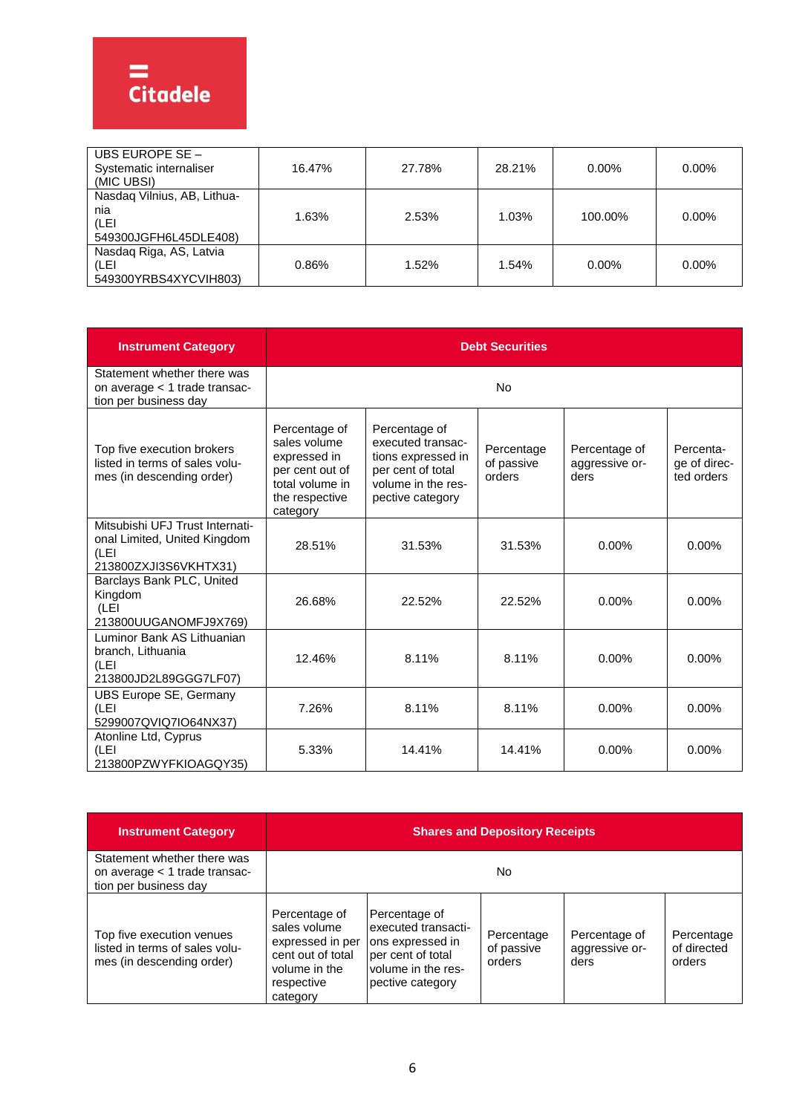| UBS EUROPE SE -<br>Systematic internaliser<br>(MIC UBSI)            | 16.47% | 27.78% | 28.21% | $0.00\%$ | $0.00\%$ |
|---------------------------------------------------------------------|--------|--------|--------|----------|----------|
| Nasdag Vilnius, AB, Lithua-<br>nia<br>(LEI<br>549300JGFH6L45DLE408) | 1.63%  | 2.53%  | 1.03%  | 100.00%  | $0.00\%$ |
| Nasdaq Riga, AS, Latvia<br>(LEI<br>549300YRBS4XYCVIH803)            | 0.86%  | 1.52%  | 1.54%  | $0.00\%$ | $0.00\%$ |

| <b>Instrument Category</b>                                                                       | <b>Debt Securities</b>                                                                                            |                                                                                                                         |                                    |                                         |                                         |  |
|--------------------------------------------------------------------------------------------------|-------------------------------------------------------------------------------------------------------------------|-------------------------------------------------------------------------------------------------------------------------|------------------------------------|-----------------------------------------|-----------------------------------------|--|
| Statement whether there was<br>on average < 1 trade transac-<br>tion per business day            |                                                                                                                   |                                                                                                                         | No                                 |                                         |                                         |  |
| Top five execution brokers<br>listed in terms of sales volu-<br>mes (in descending order)        | Percentage of<br>sales volume<br>expressed in<br>per cent out of<br>total volume in<br>the respective<br>category | Percentage of<br>executed transac-<br>tions expressed in<br>per cent of total<br>volume in the res-<br>pective category | Percentage<br>of passive<br>orders | Percentage of<br>aggressive or-<br>ders | Percenta-<br>ge of direc-<br>ted orders |  |
| Mitsubishi UFJ Trust Internati-<br>onal Limited, United Kingdom<br>(LEI<br>213800ZXJI3S6VKHTX31) | 28.51%                                                                                                            | 31.53%                                                                                                                  | 31.53%                             | $0.00\%$                                | $0.00\%$                                |  |
| Barclays Bank PLC, United<br>Kingdom<br>(LEI<br>213800UUGANOMFJ9X769)                            | 26.68%                                                                                                            | 22.52%                                                                                                                  | 22.52%                             | $0.00\%$                                | $0.00\%$                                |  |
| Luminor Bank AS Lithuanian<br>branch, Lithuania<br>(LEI<br>213800JD2L89GGG7LF07)                 | 12.46%                                                                                                            | 8.11%                                                                                                                   | 8.11%                              | $0.00\%$                                | $0.00\%$                                |  |
| <b>UBS Europe SE, Germany</b><br>(LEI<br>5299007QVIQ7IO64NX37)                                   | 7.26%                                                                                                             | 8.11%                                                                                                                   | 8.11%                              | 0.00%                                   | $0.00\%$                                |  |
| Atonline Ltd, Cyprus<br>(LEI<br>213800PZWYFKIOAGQY35)                                            | 5.33%                                                                                                             | 14.41%                                                                                                                  | 14.41%                             | $0.00\%$                                | $0.00\%$                                |  |

| <b>Instrument Category</b>                                                               | <b>Shares and Depository Receipts</b>                                                                             |                                                                                                                         |                                    |                                         |                                     |
|------------------------------------------------------------------------------------------|-------------------------------------------------------------------------------------------------------------------|-------------------------------------------------------------------------------------------------------------------------|------------------------------------|-----------------------------------------|-------------------------------------|
| Statement whether there was<br>on average < 1 trade transac-<br>tion per business day    |                                                                                                                   |                                                                                                                         | No.                                |                                         |                                     |
| Top five execution venues<br>listed in terms of sales volu-<br>mes (in descending order) | Percentage of<br>sales volume<br>expressed in per<br>cent out of total<br>volume in the<br>respective<br>category | Percentage of<br>executed transacti-<br>ons expressed in<br>per cent of total<br>volume in the res-<br>pective category | Percentage<br>of passive<br>orders | Percentage of<br>aggressive or-<br>ders | Percentage<br>of directed<br>orders |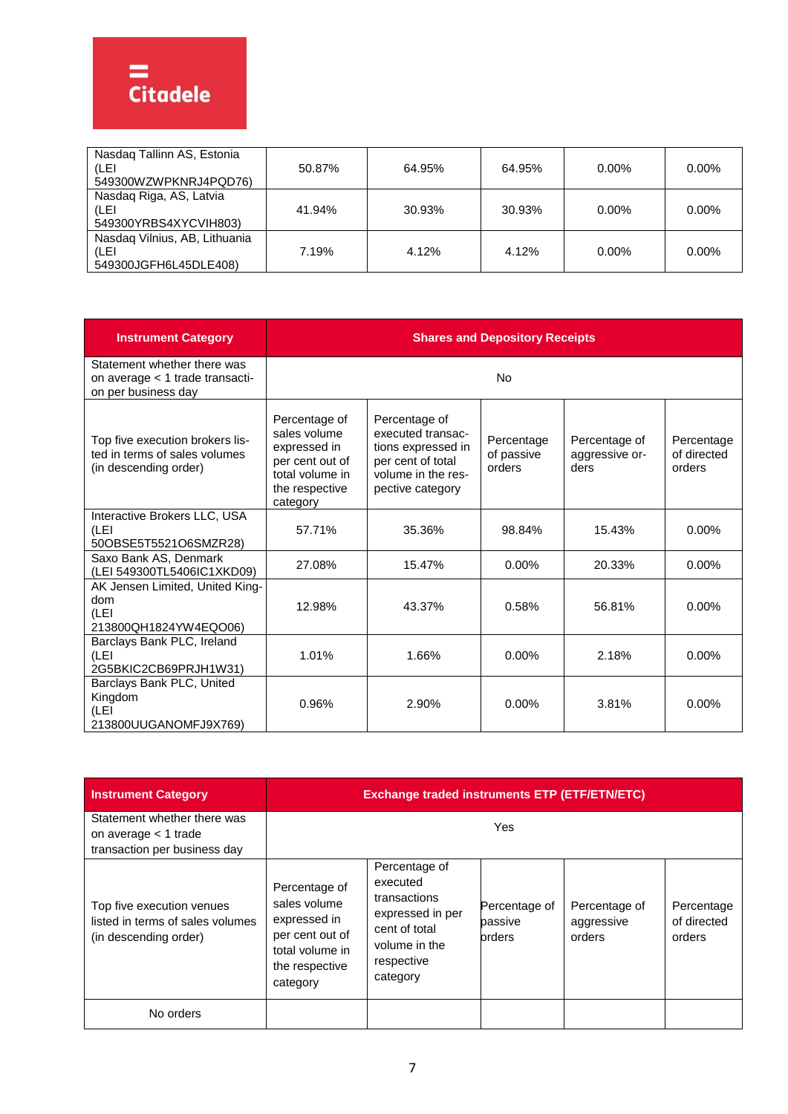| Nasdaq Tallinn AS, Estonia<br>(LEI<br>549300WZWPKNRJ4PQD76)    | 50.87% | 64.95% | 64.95% | $0.00\%$ | $0.00\%$ |
|----------------------------------------------------------------|--------|--------|--------|----------|----------|
| Nasdaq Riga, AS, Latvia<br>(LEI<br>549300YRBS4XYCVIH803)       | 41.94% | 30.93% | 30.93% | $0.00\%$ | $0.00\%$ |
| Nasdag Vilnius, AB, Lithuania<br>(LEI<br>549300JGFH6L45DLE408) | 7.19%  | 4.12%  | 4.12%  | $0.00\%$ | $0.00\%$ |

| <b>Instrument Category</b>                                                                | <b>Shares and Depository Receipts</b>                                                                             |                                                                                                                         |                                    |                                         |                                     |  |
|-------------------------------------------------------------------------------------------|-------------------------------------------------------------------------------------------------------------------|-------------------------------------------------------------------------------------------------------------------------|------------------------------------|-----------------------------------------|-------------------------------------|--|
| Statement whether there was<br>on average < 1 trade transacti-<br>on per business day     |                                                                                                                   |                                                                                                                         | <b>No</b>                          |                                         |                                     |  |
| Top five execution brokers lis-<br>ted in terms of sales volumes<br>(in descending order) | Percentage of<br>sales volume<br>expressed in<br>per cent out of<br>total volume in<br>the respective<br>category | Percentage of<br>executed transac-<br>tions expressed in<br>per cent of total<br>volume in the res-<br>pective category | Percentage<br>of passive<br>orders | Percentage of<br>aggressive or-<br>ders | Percentage<br>of directed<br>orders |  |
| Interactive Brokers LLC, USA<br>(LEI<br>50OBSE5T5521O6SMZR28)                             | 57.71%                                                                                                            | 35.36%                                                                                                                  | 98.84%                             | 15.43%                                  | $0.00\%$                            |  |
| Saxo Bank AS, Denmark<br>(LEI 549300TL5406IC1XKD09)                                       | 27.08%                                                                                                            | 15.47%                                                                                                                  | 0.00%                              | 20.33%                                  | $0.00\%$                            |  |
| AK Jensen Limited, United King-<br>dom<br>(LEI<br>213800QH1824YW4EQO06)                   | 12.98%                                                                                                            | 43.37%                                                                                                                  | 0.58%                              | 56.81%                                  | $0.00\%$                            |  |
| Barclays Bank PLC, Ireland<br>(LEI<br>2G5BKIC2CB69PRJH1W31)                               | 1.01%                                                                                                             | 1.66%                                                                                                                   | $0.00\%$                           | 2.18%                                   | $0.00\%$                            |  |
| Barclays Bank PLC, United<br>Kingdom<br>(LEI<br>213800UUGANOMFJ9X769)                     | 0.96%                                                                                                             | 2.90%                                                                                                                   | $0.00\%$                           | 3.81%                                   | 0.00%                               |  |

| <b>Instrument Category</b>                                                             | <b>Exchange traded instruments ETP (ETF/ETN/ETC)</b>                                                              |                                                                                                                           |                                    |                                       |                                     |  |
|----------------------------------------------------------------------------------------|-------------------------------------------------------------------------------------------------------------------|---------------------------------------------------------------------------------------------------------------------------|------------------------------------|---------------------------------------|-------------------------------------|--|
| Statement whether there was<br>on average < 1 trade<br>transaction per business day    |                                                                                                                   |                                                                                                                           | Yes                                |                                       |                                     |  |
| Top five execution venues<br>listed in terms of sales volumes<br>(in descending order) | Percentage of<br>sales volume<br>expressed in<br>per cent out of<br>total volume in<br>the respective<br>category | Percentage of<br>executed<br>transactions<br>expressed in per<br>cent of total<br>volume in the<br>respective<br>category | Percentage of<br>passive<br>orders | Percentage of<br>aggressive<br>orders | Percentage<br>of directed<br>orders |  |
| No orders                                                                              |                                                                                                                   |                                                                                                                           |                                    |                                       |                                     |  |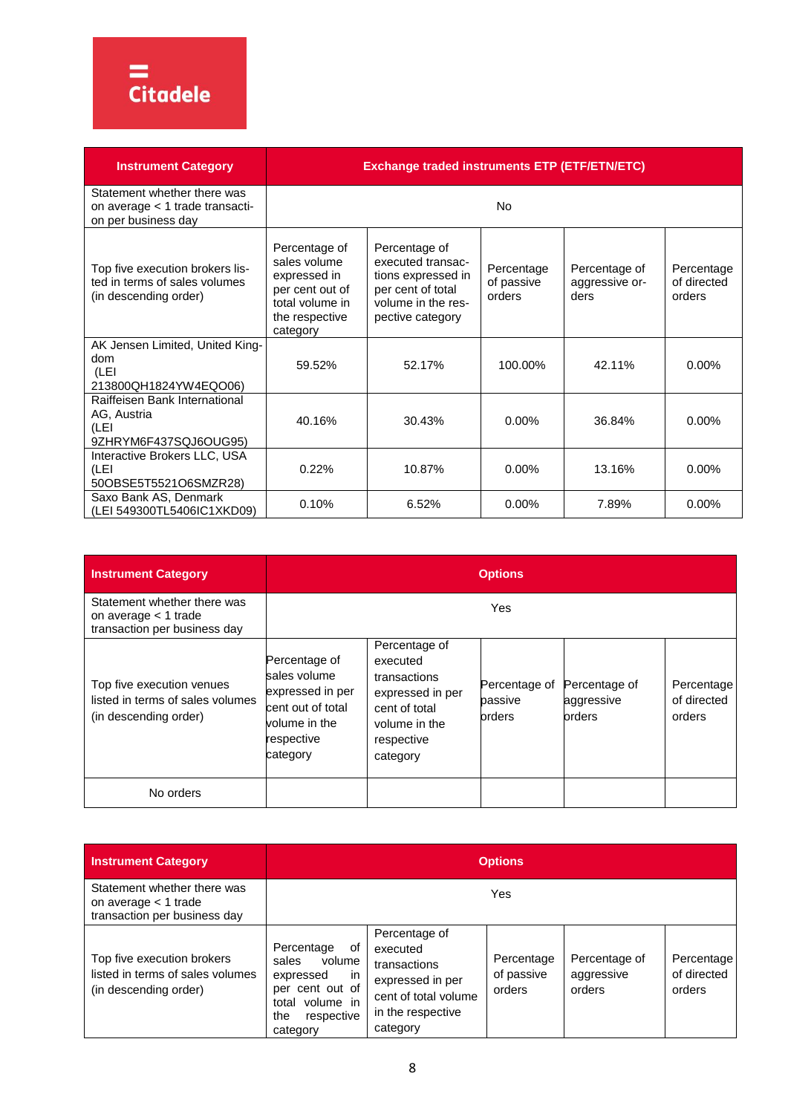

| <b>Instrument Category</b>                                                                | <b>Exchange traded instruments ETP (ETF/ETN/ETC)</b>                                                              |                                                                                                                         |                                    |                                         |                                     |  |  |
|-------------------------------------------------------------------------------------------|-------------------------------------------------------------------------------------------------------------------|-------------------------------------------------------------------------------------------------------------------------|------------------------------------|-----------------------------------------|-------------------------------------|--|--|
| Statement whether there was<br>on average < 1 trade transacti-<br>on per business day     |                                                                                                                   |                                                                                                                         | No                                 |                                         |                                     |  |  |
| Top five execution brokers lis-<br>ted in terms of sales volumes<br>(in descending order) | Percentage of<br>sales volume<br>expressed in<br>per cent out of<br>total volume in<br>the respective<br>category | Percentage of<br>executed transac-<br>tions expressed in<br>per cent of total<br>volume in the res-<br>pective category | Percentage<br>of passive<br>orders | Percentage of<br>aggressive or-<br>ders | Percentage<br>of directed<br>orders |  |  |
| AK Jensen Limited, United King-<br>dom<br>(LEI<br>213800QH1824YW4EQO06)                   | 59.52%                                                                                                            | 52.17%                                                                                                                  | 100.00%                            | 42.11%                                  | $0.00\%$                            |  |  |
| Raiffeisen Bank International<br>AG, Austria<br>(LEI<br>9ZHRYM6F437SQJ6OUG95)             | 40.16%                                                                                                            | 30.43%                                                                                                                  | $0.00\%$                           | 36.84%                                  | $0.00\%$                            |  |  |
| Interactive Brokers LLC, USA<br>(LEI<br>50OBSE5T5521O6SMZR28)                             | 0.22%                                                                                                             | 10.87%                                                                                                                  | $0.00\%$                           | 13.16%                                  | $0.00\%$                            |  |  |
| Saxo Bank AS, Denmark<br>(LEI 549300TL5406IC1XKD09)                                       | 0.10%                                                                                                             | 6.52%                                                                                                                   | 0.00%                              | 7.89%                                   | $0.00\%$                            |  |  |

| <b>Instrument Category</b>                                                             |                                                                                                                   | <b>Options</b>                                                                                                            |                                    |                                       |                                     |  |  |
|----------------------------------------------------------------------------------------|-------------------------------------------------------------------------------------------------------------------|---------------------------------------------------------------------------------------------------------------------------|------------------------------------|---------------------------------------|-------------------------------------|--|--|
| Statement whether there was<br>on average $<$ 1 trade<br>transaction per business day  |                                                                                                                   |                                                                                                                           | Yes                                |                                       |                                     |  |  |
| Top five execution venues<br>listed in terms of sales volumes<br>(in descending order) | Percentage of<br>sales volume<br>expressed in per<br>cent out of total<br>volume in the<br>respective<br>category | Percentage of<br>executed<br>transactions<br>expressed in per<br>cent of total<br>volume in the<br>respective<br>category | Percentage of<br>passive<br>orders | Percentage of<br>aggressive<br>orders | Percentage<br>of directed<br>orders |  |  |
| No orders                                                                              |                                                                                                                   |                                                                                                                           |                                    |                                       |                                     |  |  |

| <b>Instrument Category</b>                                                              | <b>Options</b>                                                                                                                   |                                                                                                                        |                                    |                                       |                                     |  |
|-----------------------------------------------------------------------------------------|----------------------------------------------------------------------------------------------------------------------------------|------------------------------------------------------------------------------------------------------------------------|------------------------------------|---------------------------------------|-------------------------------------|--|
| Statement whether there was<br>on average $<$ 1 trade<br>transaction per business day   |                                                                                                                                  |                                                                                                                        | Yes                                |                                       |                                     |  |
| Top five execution brokers<br>listed in terms of sales volumes<br>(in descending order) | Percentage<br>οf<br>sales<br>volume<br>expressed<br>ın<br>per cent out of<br>volume in<br>total<br>the<br>respective<br>category | Percentage of<br>executed<br>transactions<br>expressed in per<br>cent of total volume<br>in the respective<br>category | Percentage<br>of passive<br>orders | Percentage of<br>aggressive<br>orders | Percentage<br>of directed<br>orders |  |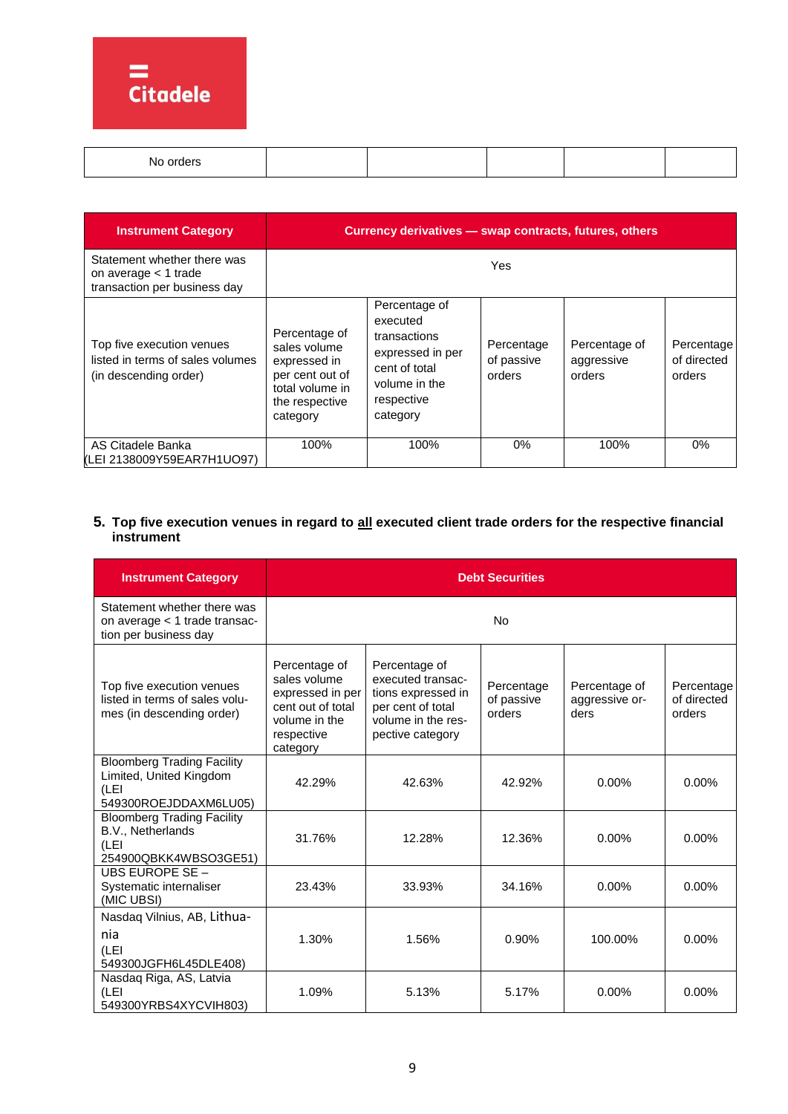

| , order<br>N٥ |  |  |  |
|---------------|--|--|--|
|               |  |  |  |
|               |  |  |  |

| <b>Instrument Category</b>                                                             | Currency derivatives - swap contracts, futures, others                                                            |                                                                                                                           |                                    |                                       |                                     |  |
|----------------------------------------------------------------------------------------|-------------------------------------------------------------------------------------------------------------------|---------------------------------------------------------------------------------------------------------------------------|------------------------------------|---------------------------------------|-------------------------------------|--|
| Statement whether there was<br>on average $<$ 1 trade<br>transaction per business day  |                                                                                                                   |                                                                                                                           | Yes                                |                                       |                                     |  |
| Top five execution venues<br>listed in terms of sales volumes<br>(in descending order) | Percentage of<br>sales volume<br>expressed in<br>per cent out of<br>total volume in<br>the respective<br>category | Percentage of<br>executed<br>transactions<br>expressed in per<br>cent of total<br>volume in the<br>respective<br>category | Percentage<br>of passive<br>orders | Percentage of<br>aggressive<br>orders | Percentage<br>of directed<br>orders |  |
| AS Citadele Banka<br>(LEI 2138009Y59EAR7H1UO97)                                        | 100%                                                                                                              | 100%                                                                                                                      | 0%                                 | 100%                                  | 0%                                  |  |

# **5. Top five execution venues in regard to all executed client trade orders for the respective financial instrument**

| <b>Instrument Category</b>                                                                    | <b>Debt Securities</b>                                                                                            |                                                                                                                         |                                    |                                         |                                     |  |
|-----------------------------------------------------------------------------------------------|-------------------------------------------------------------------------------------------------------------------|-------------------------------------------------------------------------------------------------------------------------|------------------------------------|-----------------------------------------|-------------------------------------|--|
| Statement whether there was<br>on average < 1 trade transac-<br>tion per business day         |                                                                                                                   |                                                                                                                         | No                                 |                                         |                                     |  |
| Top five execution venues<br>listed in terms of sales volu-<br>mes (in descending order)      | Percentage of<br>sales volume<br>expressed in per<br>cent out of total<br>volume in the<br>respective<br>category | Percentage of<br>executed transac-<br>tions expressed in<br>per cent of total<br>volume in the res-<br>pective category | Percentage<br>of passive<br>orders | Percentage of<br>aggressive or-<br>ders | Percentage<br>of directed<br>orders |  |
| <b>Bloomberg Trading Facility</b><br>Limited, United Kingdom<br>(LEI<br>549300ROEJDDAXM6LU05) | 42.29%                                                                                                            | 42.63%                                                                                                                  | 42.92%                             | $0.00\%$                                | $0.00\%$                            |  |
| <b>Bloomberg Trading Facility</b><br>B.V., Netherlands<br>(LEI<br>254900QBKK4WBSO3GE51)       | 31.76%                                                                                                            | 12.28%                                                                                                                  | 12.36%                             | $0.00\%$                                | $0.00\%$                            |  |
| UBS EUROPE SE -<br>Systematic internaliser<br>(MIC UBSI)                                      | 23.43%                                                                                                            | 33.93%                                                                                                                  | 34.16%                             | $0.00\%$                                | $0.00\%$                            |  |
| Nasdaq Vilnius, AB, Lithua-<br>nia<br>(LEI<br>549300JGFH6L45DLE408)                           | 1.30%                                                                                                             | 1.56%                                                                                                                   | 0.90%                              | 100.00%                                 | $0.00\%$                            |  |
| Nasdaq Riga, AS, Latvia<br>(LEI<br>549300YRBS4XYCVIH803)                                      | 1.09%                                                                                                             | 5.13%                                                                                                                   | 5.17%                              | 0.00%                                   | 0.00%                               |  |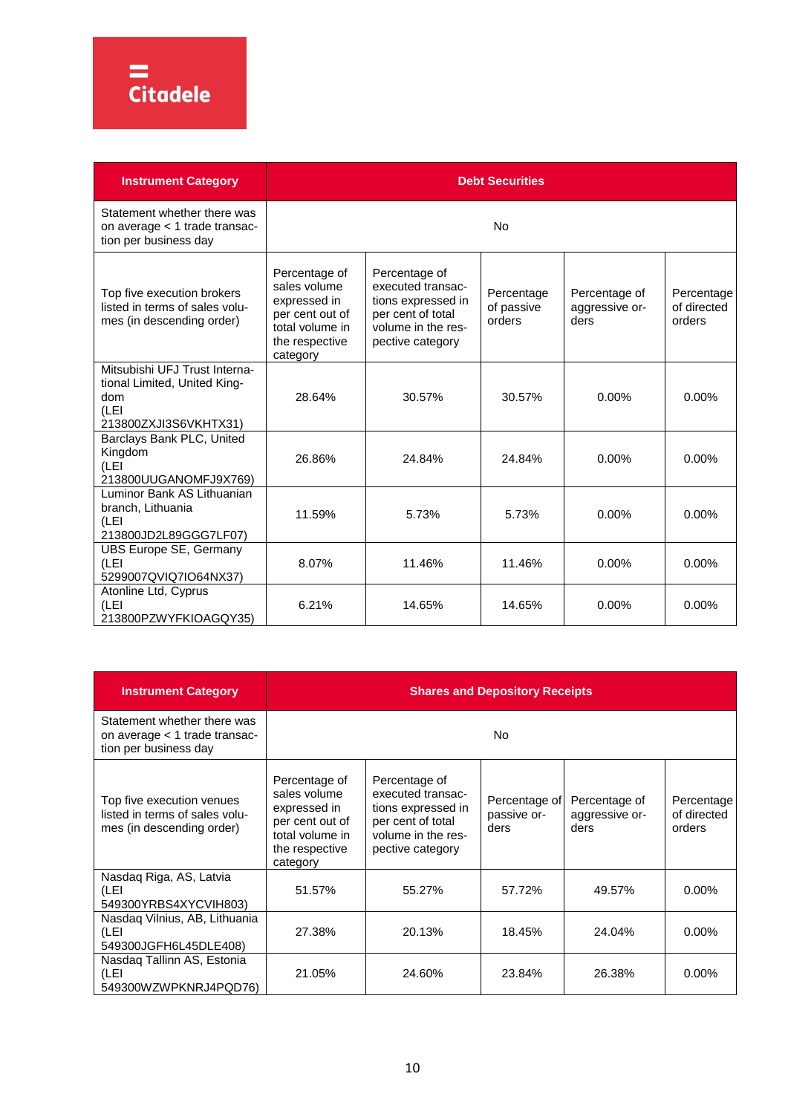

| <b>Instrument Category</b>                                                                             | <b>Debt Securities</b>                                                                                            |                                                                                                                         |                                    |                                         |                                     |  |  |
|--------------------------------------------------------------------------------------------------------|-------------------------------------------------------------------------------------------------------------------|-------------------------------------------------------------------------------------------------------------------------|------------------------------------|-----------------------------------------|-------------------------------------|--|--|
| Statement whether there was<br>on average < 1 trade transac-<br>tion per business day                  |                                                                                                                   | <b>No</b>                                                                                                               |                                    |                                         |                                     |  |  |
| Top five execution brokers<br>listed in terms of sales volu-<br>mes (in descending order)              | Percentage of<br>sales volume<br>expressed in<br>per cent out of<br>total volume in<br>the respective<br>category | Percentage of<br>executed transac-<br>tions expressed in<br>per cent of total<br>volume in the res-<br>pective category | Percentage<br>of passive<br>orders | Percentage of<br>aggressive or-<br>ders | Percentage<br>of directed<br>orders |  |  |
| Mitsubishi UFJ Trust Interna-<br>tional Limited, United King-<br>dom<br>(LEI)<br>213800ZXJI3S6VKHTX31) | 28.64%                                                                                                            | 30.57%                                                                                                                  | 30.57%                             | 0.00%                                   | 0.00%                               |  |  |
| Barclays Bank PLC, United<br>Kingdom<br>(LEI<br>213800UUGANOMFJ9X769)                                  | 26.86%                                                                                                            | 24.84%                                                                                                                  | 24.84%                             | 0.00%                                   | $0.00\%$                            |  |  |
| Luminor Bank AS Lithuanian<br>branch, Lithuania<br>(LEI<br>213800JD2L89GGG7LF07)                       | 11.59%                                                                                                            | 5.73%                                                                                                                   | 5.73%                              | 0.00%                                   | $0.00\%$                            |  |  |
| UBS Europe SE, Germany<br>(LEI<br>5299007QVIQ7IO64NX37)                                                | 8.07%                                                                                                             | 11.46%                                                                                                                  | 11.46%                             | $0.00\%$                                | $0.00\%$                            |  |  |
| Atonline Ltd, Cyprus<br>(LEI<br>213800PZWYFKIOAGQY35)                                                  | 6.21%                                                                                                             | 14.65%                                                                                                                  | 14.65%                             | $0.00\%$                                | $0.00\%$                            |  |  |

| <b>Instrument Category</b>                                                               | <b>Shares and Depository Receipts</b>                                                                             |                                                                                                                         |                                      |                                         |                                     |  |
|------------------------------------------------------------------------------------------|-------------------------------------------------------------------------------------------------------------------|-------------------------------------------------------------------------------------------------------------------------|--------------------------------------|-----------------------------------------|-------------------------------------|--|
| Statement whether there was<br>on average < 1 trade transac-<br>tion per business day    | No.                                                                                                               |                                                                                                                         |                                      |                                         |                                     |  |
| Top five execution venues<br>listed in terms of sales volu-<br>mes (in descending order) | Percentage of<br>sales volume<br>expressed in<br>per cent out of<br>total volume in<br>the respective<br>category | Percentage of<br>executed transac-<br>tions expressed in<br>per cent of total<br>volume in the res-<br>pective category | Percentage of<br>passive or-<br>ders | Percentage of<br>aggressive or-<br>ders | Percentage<br>of directed<br>orders |  |
| Nasdaq Riga, AS, Latvia<br>(LEI<br>549300YRBS4XYCVIH803)                                 | 51.57%                                                                                                            | 55.27%                                                                                                                  | 57.72%                               | 49.57%                                  | $0.00\%$                            |  |
| Nasdag Vilnius, AB, Lithuania<br>(LEI<br>549300JGFH6L45DLE408)                           | 27.38%                                                                                                            | 20.13%                                                                                                                  | 18.45%                               | 24.04%                                  | $0.00\%$                            |  |
| Nasdaq Tallinn AS, Estonia<br>(LEI<br>549300WZWPKNRJ4PQD76)                              | 21.05%                                                                                                            | 24.60%                                                                                                                  | 23.84%                               | 26.38%                                  | $0.00\%$                            |  |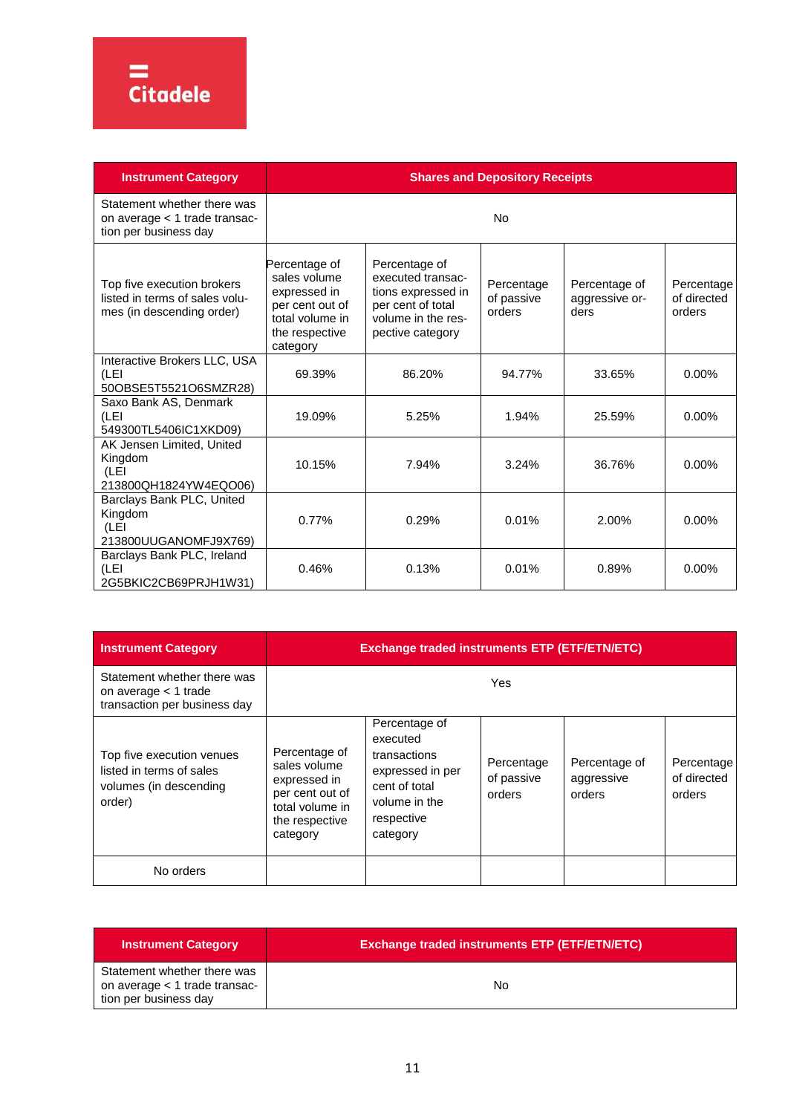

| <b>Instrument Category</b>                                                                | <b>Shares and Depository Receipts</b>                                                                             |                                                                                                                         |                                    |                                         |                                     |  |
|-------------------------------------------------------------------------------------------|-------------------------------------------------------------------------------------------------------------------|-------------------------------------------------------------------------------------------------------------------------|------------------------------------|-----------------------------------------|-------------------------------------|--|
| Statement whether there was<br>on average < 1 trade transac-<br>tion per business day     |                                                                                                                   |                                                                                                                         | <b>No</b>                          |                                         |                                     |  |
| Top five execution brokers<br>listed in terms of sales volu-<br>mes (in descending order) | Percentage of<br>sales volume<br>expressed in<br>per cent out of<br>total volume in<br>the respective<br>category | Percentage of<br>executed transac-<br>tions expressed in<br>per cent of total<br>volume in the res-<br>pective category | Percentage<br>of passive<br>orders | Percentage of<br>aggressive or-<br>ders | Percentage<br>of directed<br>orders |  |
| Interactive Brokers LLC, USA<br>(LEI<br>50OBSE5T5521O6SMZR28)                             | 69.39%                                                                                                            | 86.20%                                                                                                                  | 94.77%                             | 33.65%                                  | $0.00\%$                            |  |
| Saxo Bank AS, Denmark<br>(LEI<br>549300TL5406IC1XKD09)                                    | 19.09%                                                                                                            | 5.25%                                                                                                                   | 1.94%                              | 25.59%                                  | $0.00\%$                            |  |
| AK Jensen Limited, United<br>Kingdom<br>(LEI<br>213800QH1824YW4EQO06)                     | 10.15%                                                                                                            | 7.94%                                                                                                                   | 3.24%                              | 36.76%                                  | $0.00\%$                            |  |
| Barclays Bank PLC, United<br>Kingdom<br>(LEI<br>213800UUGANOMFJ9X769)                     | 0.77%                                                                                                             | 0.29%                                                                                                                   | 0.01%                              | 2.00%                                   | $0.00\%$                            |  |
| Barclays Bank PLC, Ireland<br>(LEI<br>2G5BKIC2CB69PRJH1W31)                               | 0.46%                                                                                                             | 0.13%                                                                                                                   | 0.01%                              | 0.89%                                   | 0.00%                               |  |

| <b>Instrument Category</b>                                                                | <b>Exchange traded instruments ETP (ETF/ETN/ETC)</b>                                                              |                                                                                                                           |                                    |                                       |                                     |  |  |
|-------------------------------------------------------------------------------------------|-------------------------------------------------------------------------------------------------------------------|---------------------------------------------------------------------------------------------------------------------------|------------------------------------|---------------------------------------|-------------------------------------|--|--|
| Statement whether there was<br>on average $<$ 1 trade<br>transaction per business day     |                                                                                                                   | Yes                                                                                                                       |                                    |                                       |                                     |  |  |
| Top five execution venues<br>listed in terms of sales<br>volumes (in descending<br>order) | Percentage of<br>sales volume<br>expressed in<br>per cent out of<br>total volume in<br>the respective<br>category | Percentage of<br>executed<br>transactions<br>expressed in per<br>cent of total<br>volume in the<br>respective<br>category | Percentage<br>of passive<br>orders | Percentage of<br>aggressive<br>orders | Percentage<br>of directed<br>orders |  |  |
| No orders                                                                                 |                                                                                                                   |                                                                                                                           |                                    |                                       |                                     |  |  |

| <b>Instrument Category</b>                                                            | <b>Exchange traded instruments ETP (ETF/ETN/ETC)</b> |
|---------------------------------------------------------------------------------------|------------------------------------------------------|
| Statement whether there was<br>on average < 1 trade transac-<br>tion per business day | No                                                   |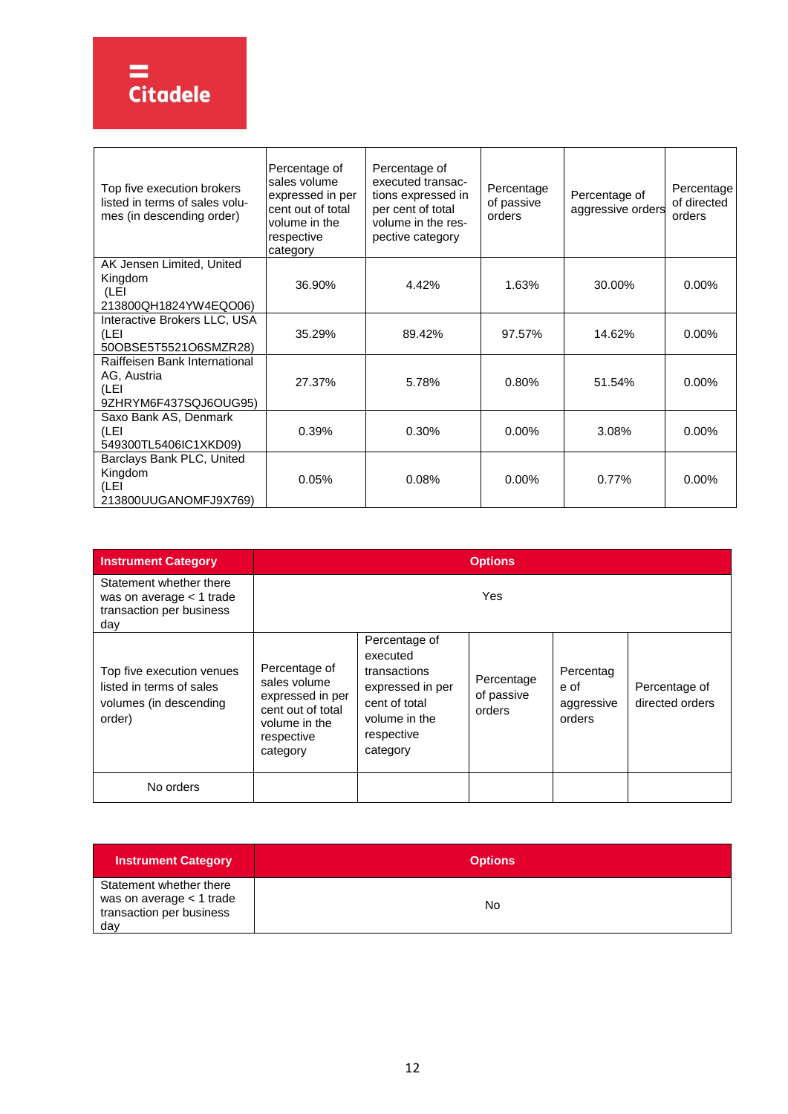

| Top five execution brokers<br>listed in terms of sales volu-<br>mes (in descending order) | Percentage of<br>sales volume<br>expressed in per<br>cent out of total<br>volume in the<br>respective<br>category | Percentage of<br>executed transac-<br>tions expressed in<br>per cent of total<br>volume in the res-<br>pective category | Percentage<br>of passive<br>orders | Percentage of<br>aggressive orders | Percentage<br>of directed<br>orders |
|-------------------------------------------------------------------------------------------|-------------------------------------------------------------------------------------------------------------------|-------------------------------------------------------------------------------------------------------------------------|------------------------------------|------------------------------------|-------------------------------------|
| AK Jensen Limited, United                                                                 |                                                                                                                   |                                                                                                                         |                                    |                                    |                                     |
| Kingdom<br>(LEI                                                                           | 36.90%                                                                                                            | 4.42%                                                                                                                   | 1.63%                              | 30.00%                             | $0.00\%$                            |
| 213800QH1824YW4EQO06)                                                                     |                                                                                                                   |                                                                                                                         |                                    |                                    |                                     |
| Interactive Brokers LLC, USA                                                              |                                                                                                                   |                                                                                                                         |                                    |                                    |                                     |
| (LEI                                                                                      | 35.29%                                                                                                            | 89.42%                                                                                                                  | 97.57%                             | 14.62%                             | 0.00%                               |
| 50OBSE5T5521O6SMZR28)                                                                     |                                                                                                                   |                                                                                                                         |                                    |                                    |                                     |
| Raiffeisen Bank International<br>AG, Austria                                              |                                                                                                                   |                                                                                                                         |                                    |                                    |                                     |
| (LEI                                                                                      | 27.37%                                                                                                            | 5.78%                                                                                                                   | 0.80%                              | 51.54%                             | $0.00\%$                            |
| 9ZHRYM6F437SQJ6OUG95)                                                                     |                                                                                                                   |                                                                                                                         |                                    |                                    |                                     |
| Saxo Bank AS, Denmark                                                                     |                                                                                                                   |                                                                                                                         |                                    |                                    |                                     |
| (LEI                                                                                      | 0.39%                                                                                                             | 0.30%                                                                                                                   | $0.00\%$                           | 3.08%                              | $0.00\%$                            |
| 549300TL5406IC1XKD09)                                                                     |                                                                                                                   |                                                                                                                         |                                    |                                    |                                     |
| Barclays Bank PLC, United                                                                 |                                                                                                                   |                                                                                                                         |                                    |                                    |                                     |
| Kingdom                                                                                   | 0.05%                                                                                                             | 0.08%                                                                                                                   | $0.00\%$                           | 0.77%                              | $0.00\%$                            |
| (LEI                                                                                      |                                                                                                                   |                                                                                                                         |                                    |                                    |                                     |
| 213800UUGANOMFJ9X769)                                                                     |                                                                                                                   |                                                                                                                         |                                    |                                    |                                     |

| <b>Instrument Category</b>                                                                | <b>Options</b>                                                                                                    |                                                                                                                           |                                    |                                           |                                  |  |
|-------------------------------------------------------------------------------------------|-------------------------------------------------------------------------------------------------------------------|---------------------------------------------------------------------------------------------------------------------------|------------------------------------|-------------------------------------------|----------------------------------|--|
| Statement whether there<br>was on average < 1 trade<br>transaction per business<br>day    |                                                                                                                   |                                                                                                                           | Yes                                |                                           |                                  |  |
| Top five execution venues<br>listed in terms of sales<br>volumes (in descending<br>order) | Percentage of<br>sales volume<br>expressed in per<br>cent out of total<br>volume in the<br>respective<br>category | Percentage of<br>executed<br>transactions<br>expressed in per<br>cent of total<br>volume in the<br>respective<br>category | Percentage<br>of passive<br>orders | Percentag<br>e of<br>aggressive<br>orders | Percentage of<br>directed orders |  |
| No orders                                                                                 |                                                                                                                   |                                                                                                                           |                                    |                                           |                                  |  |

| <b>Instrument Category</b>                                                             | <b>Options</b> |
|----------------------------------------------------------------------------------------|----------------|
| Statement whether there<br>was on average < 1 trade<br>transaction per business<br>day | No             |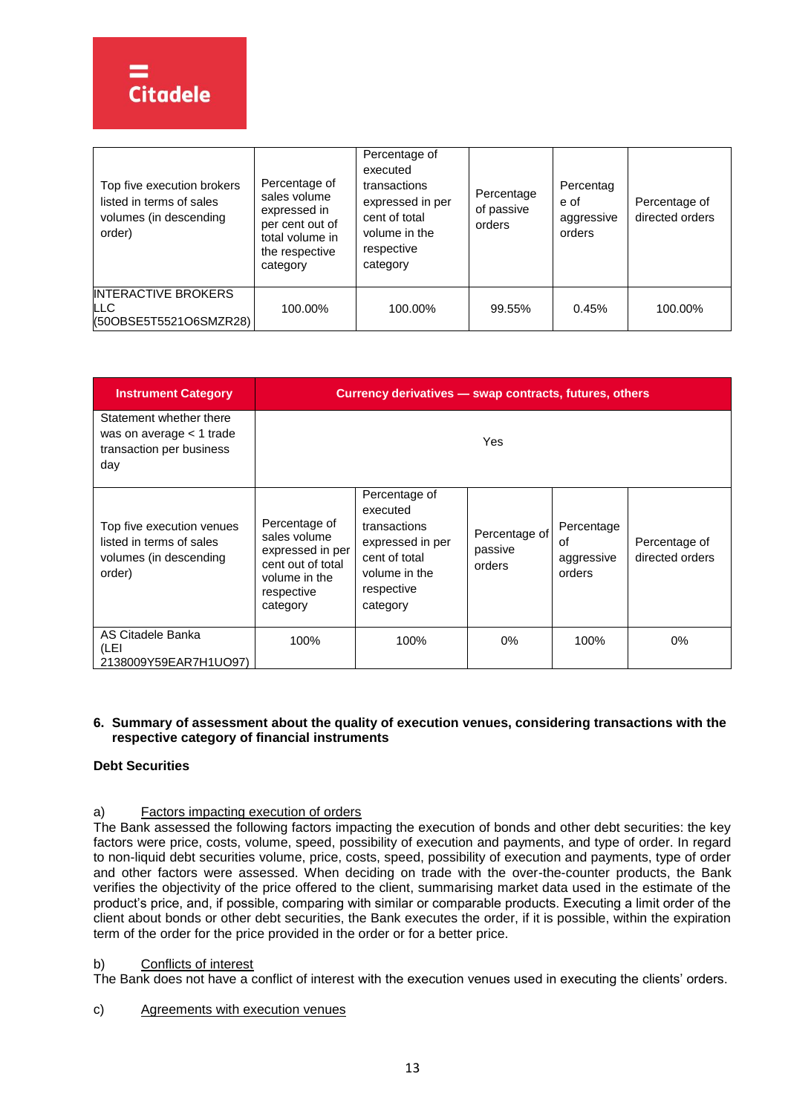| Top five execution brokers<br>listed in terms of sales<br>volumes (in descending<br>order) | Percentage of<br>sales volume<br>expressed in<br>per cent out of<br>total volume in<br>the respective<br>category | Percentage of<br>executed<br>transactions<br>expressed in per<br>cent of total<br>volume in the<br>respective<br>category | Percentage<br>of passive<br>orders | Percentag<br>e of<br>aggressive<br>orders | Percentage of<br>directed orders |
|--------------------------------------------------------------------------------------------|-------------------------------------------------------------------------------------------------------------------|---------------------------------------------------------------------------------------------------------------------------|------------------------------------|-------------------------------------------|----------------------------------|
| <b>INTERACTIVE BROKERS</b><br>LLC<br>(50OBSE5T5521O6SMZR28)                                | 100.00%                                                                                                           | 100.00%                                                                                                                   | 99.55%                             | 0.45%                                     | 100.00%                          |

| <b>Instrument Category</b>                                                                | Currency derivatives - swap contracts, futures, others                                                            |                                                                                                                           |                                    |                                          |                                  |  |
|-------------------------------------------------------------------------------------------|-------------------------------------------------------------------------------------------------------------------|---------------------------------------------------------------------------------------------------------------------------|------------------------------------|------------------------------------------|----------------------------------|--|
| Statement whether there<br>was on average $<$ 1 trade<br>transaction per business<br>day  | Yes                                                                                                               |                                                                                                                           |                                    |                                          |                                  |  |
| Top five execution venues<br>listed in terms of sales<br>volumes (in descending<br>order) | Percentage of<br>sales volume<br>expressed in per<br>cent out of total<br>volume in the<br>respective<br>category | Percentage of<br>executed<br>transactions<br>expressed in per<br>cent of total<br>volume in the<br>respective<br>category | Percentage of<br>passive<br>orders | Percentage<br>οf<br>aggressive<br>orders | Percentage of<br>directed orders |  |
| AS Citadele Banka<br>(LEI<br>2138009Y59EAR7H1UO97)                                        | 100%                                                                                                              | 100%                                                                                                                      | $0\%$                              | 100%                                     | $0\%$                            |  |

# **6. Summary of assessment about the quality of execution venues, considering transactions with the respective category of financial instruments**

# **Debt Securities**

# a) Factors impacting execution of orders

The Bank assessed the following factors impacting the execution of bonds and other debt securities: the key factors were price, costs, volume, speed, possibility of execution and payments, and type of order. In regard to non-liquid debt securities volume, price, costs, speed, possibility of execution and payments, type of order and other factors were assessed. When deciding on trade with the over-the-counter products, the Bank verifies the objectivity of the price offered to the client, summarising market data used in the estimate of the product's price, and, if possible, comparing with similar or comparable products. Executing a limit order of the client about bonds or other debt securities, the Bank executes the order, if it is possible, within the expiration term of the order for the price provided in the order or for a better price.

# b) Conflicts of interest

The Bank does not have a conflict of interest with the execution venues used in executing the clients' orders.

# c) Agreements with execution venues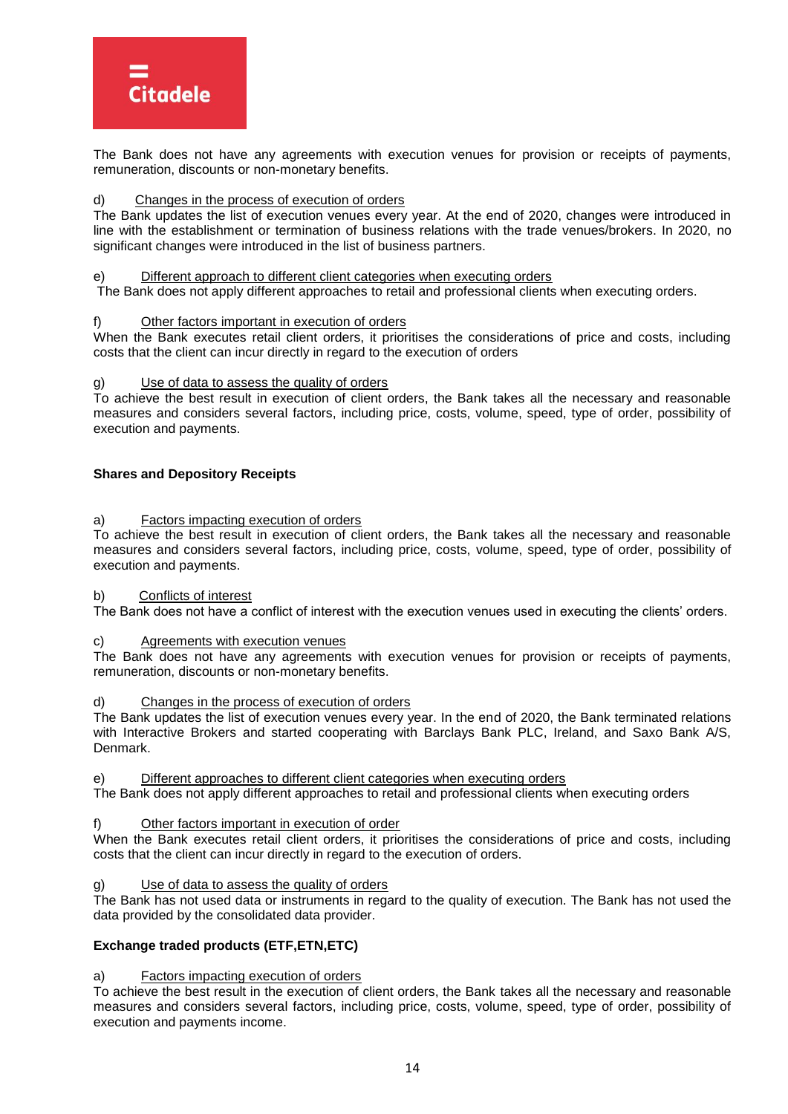

The Bank does not have any agreements with execution venues for provision or receipts of payments, remuneration, discounts or non-monetary benefits.

# d) Changes in the process of execution of orders

The Bank updates the list of execution venues every year. At the end of 2020, changes were introduced in line with the establishment or termination of business relations with the trade venues/brokers. In 2020, no significant changes were introduced in the list of business partners.

#### e) Different approach to different client categories when executing orders

The Bank does not apply different approaches to retail and professional clients when executing orders.

#### f) Other factors important in execution of orders

When the Bank executes retail client orders, it prioritises the considerations of price and costs, including costs that the client can incur directly in regard to the execution of orders

#### g) Use of data to assess the quality of orders

To achieve the best result in execution of client orders, the Bank takes all the necessary and reasonable measures and considers several factors, including price, costs, volume, speed, type of order, possibility of execution and payments.

#### **Shares and Depository Receipts**

#### a) Factors impacting execution of orders

To achieve the best result in execution of client orders, the Bank takes all the necessary and reasonable measures and considers several factors, including price, costs, volume, speed, type of order, possibility of execution and payments.

#### b) Conflicts of interest

The Bank does not have a conflict of interest with the execution venues used in executing the clients' orders.

#### Agreements with execution venues

The Bank does not have any agreements with execution venues for provision or receipts of payments, remuneration, discounts or non-monetary benefits.

#### Changes in the process of execution of orders

The Bank updates the list of execution venues every year. In the end of 2020, the Bank terminated relations with Interactive Brokers and started cooperating with Barclays Bank PLC, Ireland, and Saxo Bank A/S, Denmark.

e) Different approaches to different client categories when executing orders

The Bank does not apply different approaches to retail and professional clients when executing orders

#### Other factors important in execution of order

When the Bank executes retail client orders, it prioritises the considerations of price and costs, including costs that the client can incur directly in regard to the execution of orders.

# Use of data to assess the quality of orders

The Bank has not used data or instruments in regard to the quality of execution. The Bank has not used the data provided by the consolidated data provider.

#### **Exchange traded products (ETF,ETN,ETC)**

#### a) Factors impacting execution of orders

To achieve the best result in the execution of client orders, the Bank takes all the necessary and reasonable measures and considers several factors, including price, costs, volume, speed, type of order, possibility of execution and payments income.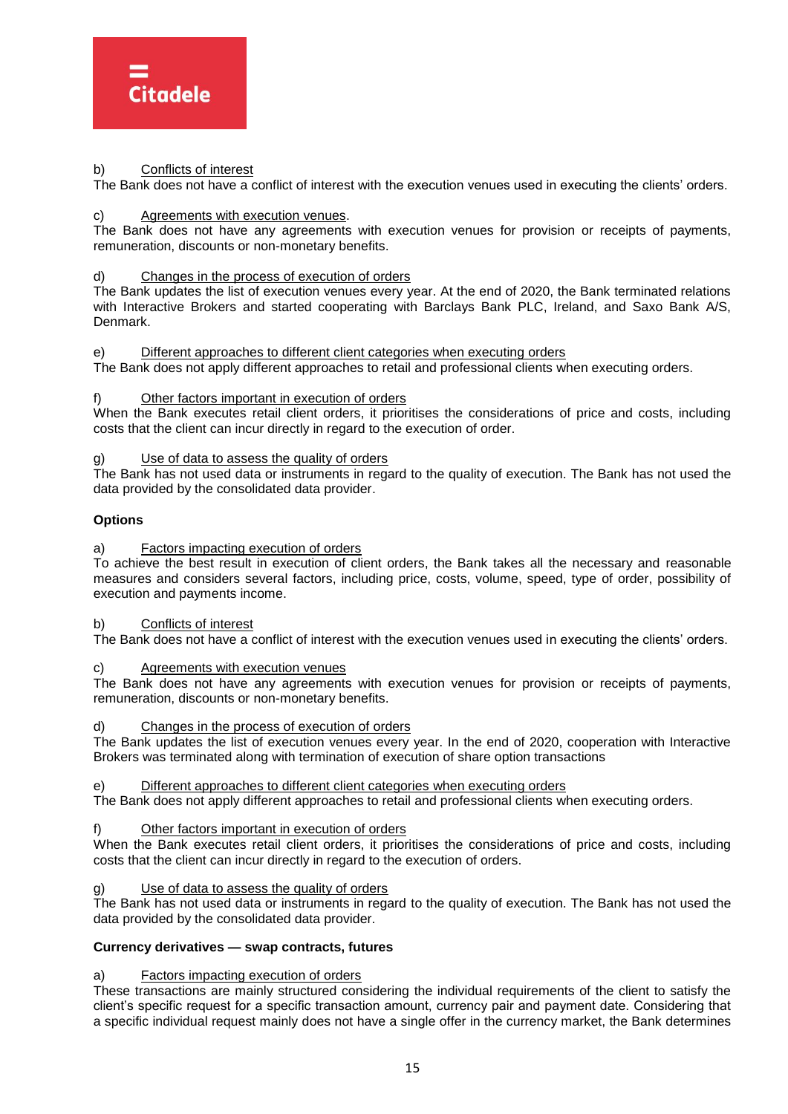

# b) Conflicts of interest

The Bank does not have a conflict of interest with the execution venues used in executing the clients' orders.

# c) Agreements with execution venues.

The Bank does not have any agreements with execution venues for provision or receipts of payments, remuneration, discounts or non-monetary benefits.

# d) Changes in the process of execution of orders

The Bank updates the list of execution venues every year. At the end of 2020, the Bank terminated relations with Interactive Brokers and started cooperating with Barclays Bank PLC, Ireland, and Saxo Bank A/S, Denmark.

e) Different approaches to different client categories when executing orders

The Bank does not apply different approaches to retail and professional clients when executing orders.

f) Other factors important in execution of orders

When the Bank executes retail client orders, it prioritises the considerations of price and costs, including costs that the client can incur directly in regard to the execution of order.

Use of data to assess the quality of orders

The Bank has not used data or instruments in regard to the quality of execution. The Bank has not used the data provided by the consolidated data provider.

# **Options**

a) Factors impacting execution of orders

To achieve the best result in execution of client orders, the Bank takes all the necessary and reasonable measures and considers several factors, including price, costs, volume, speed, type of order, possibility of execution and payments income.

#### b) Conflicts of interest

The Bank does not have a conflict of interest with the execution venues used in executing the clients' orders.

c) Agreements with execution venues

The Bank does not have any agreements with execution venues for provision or receipts of payments, remuneration, discounts or non-monetary benefits.

d) Changes in the process of execution of orders

The Bank updates the list of execution venues every year. In the end of 2020, cooperation with Interactive Brokers was terminated along with termination of execution of share option transactions

Different approaches to different client categories when executing orders

The Bank does not apply different approaches to retail and professional clients when executing orders.

#### Other factors important in execution of orders

When the Bank executes retail client orders, it prioritises the considerations of price and costs, including costs that the client can incur directly in regard to the execution of orders.

# Use of data to assess the quality of orders

The Bank has not used data or instruments in regard to the quality of execution. The Bank has not used the data provided by the consolidated data provider.

#### **Currency derivatives — swap contracts, futures**

a) Factors impacting execution of orders

These transactions are mainly structured considering the individual requirements of the client to satisfy the client's specific request for a specific transaction amount, currency pair and payment date. Considering that a specific individual request mainly does not have a single offer in the currency market, the Bank determines